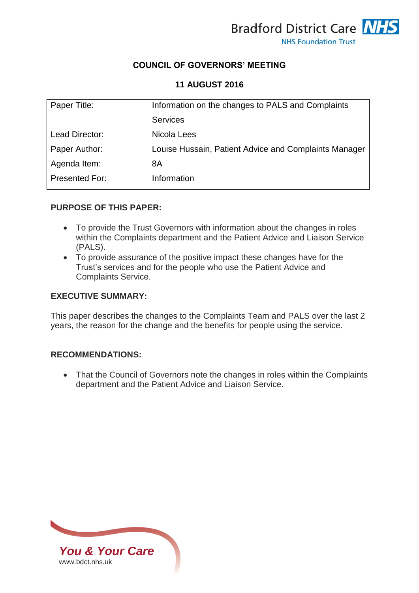

# **COUNCIL OF GOVERNORS' MEETING**

## **11 AUGUST 2016**

| Paper Title:          | Information on the changes to PALS and Complaints     |
|-----------------------|-------------------------------------------------------|
|                       | <b>Services</b>                                       |
| Lead Director:        | Nicola Lees                                           |
| Paper Author:         | Louise Hussain, Patient Advice and Complaints Manager |
| Agenda Item:          | 8A                                                    |
| <b>Presented For:</b> | Information                                           |

## **PURPOSE OF THIS PAPER:**

- To provide the Trust Governors with information about the changes in roles within the Complaints department and the Patient Advice and Liaison Service (PALS).
- To provide assurance of the positive impact these changes have for the Trust's services and for the people who use the Patient Advice and Complaints Service.

### **EXECUTIVE SUMMARY:**

This paper describes the changes to the Complaints Team and PALS over the last 2 years, the reason for the change and the benefits for people using the service.

#### **RECOMMENDATIONS:**

• That the Council of Governors note the changes in roles within the Complaints department and the Patient Advice and Liaison Service.

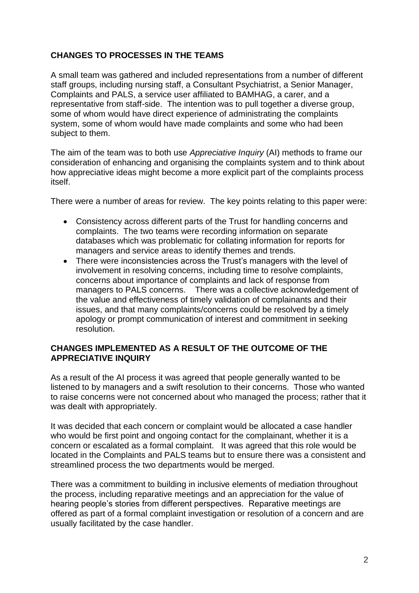# **CHANGES TO PROCESSES IN THE TEAMS**

A small team was gathered and included representations from a number of different staff groups, including nursing staff, a Consultant Psychiatrist, a Senior Manager, Complaints and PALS, a service user affiliated to BAMHAG, a carer, and a representative from staff-side. The intention was to pull together a diverse group, some of whom would have direct experience of administrating the complaints system, some of whom would have made complaints and some who had been subject to them.

The aim of the team was to both use *Appreciative Inquiry* (AI) methods to frame our consideration of enhancing and organising the complaints system and to think about how appreciative ideas might become a more explicit part of the complaints process itself.

There were a number of areas for review. The key points relating to this paper were:

- Consistency across different parts of the Trust for handling concerns and complaints. The two teams were recording information on separate databases which was problematic for collating information for reports for managers and service areas to identify themes and trends.
- There were inconsistencies across the Trust's managers with the level of involvement in resolving concerns, including time to resolve complaints, concerns about importance of complaints and lack of response from managers to PALS concerns. There was a collective acknowledgement of the value and effectiveness of timely validation of complainants and their issues, and that many complaints/concerns could be resolved by a timely apology or prompt communication of interest and commitment in seeking resolution.

# **CHANGES IMPLEMENTED AS A RESULT OF THE OUTCOME OF THE APPRECIATIVE INQUIRY**

As a result of the AI process it was agreed that people generally wanted to be listened to by managers and a swift resolution to their concerns. Those who wanted to raise concerns were not concerned about who managed the process; rather that it was dealt with appropriately.

It was decided that each concern or complaint would be allocated a case handler who would be first point and ongoing contact for the complainant, whether it is a concern or escalated as a formal complaint. It was agreed that this role would be located in the Complaints and PALS teams but to ensure there was a consistent and streamlined process the two departments would be merged.

There was a commitment to building in inclusive elements of mediation throughout the process, including reparative meetings and an appreciation for the value of hearing people's stories from different perspectives. Reparative meetings are offered as part of a formal complaint investigation or resolution of a concern and are usually facilitated by the case handler.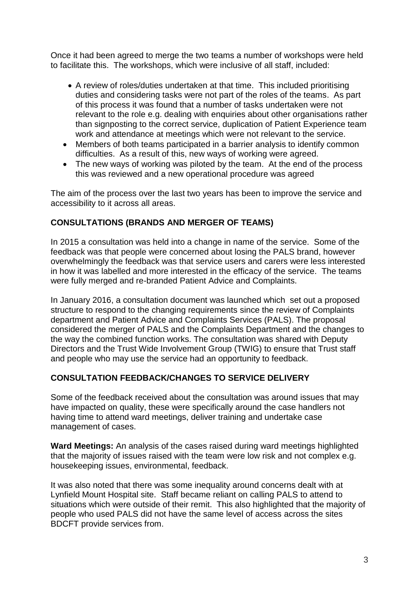Once it had been agreed to merge the two teams a number of workshops were held to facilitate this. The workshops, which were inclusive of all staff, included:

- A review of roles/duties undertaken at that time. This included prioritising duties and considering tasks were not part of the roles of the teams. As part of this process it was found that a number of tasks undertaken were not relevant to the role e.g. dealing with enquiries about other organisations rather than signposting to the correct service, duplication of Patient Experience team work and attendance at meetings which were not relevant to the service.
- Members of both teams participated in a barrier analysis to identify common difficulties. As a result of this, new ways of working were agreed.
- The new ways of working was piloted by the team. At the end of the process this was reviewed and a new operational procedure was agreed

The aim of the process over the last two years has been to improve the service and accessibility to it across all areas.

## **CONSULTATIONS (BRANDS AND MERGER OF TEAMS)**

In 2015 a consultation was held into a change in name of the service. Some of the feedback was that people were concerned about losing the PALS brand, however overwhelmingly the feedback was that service users and carers were less interested in how it was labelled and more interested in the efficacy of the service. The teams were fully merged and re-branded Patient Advice and Complaints.

In January 2016, a consultation document was launched which set out a proposed structure to respond to the changing requirements since the review of Complaints department and Patient Advice and Complaints Services (PALS). The proposal considered the merger of PALS and the Complaints Department and the changes to the way the combined function works. The consultation was shared with Deputy Directors and the Trust Wide Involvement Group (TWIG) to ensure that Trust staff and people who may use the service had an opportunity to feedback.

## **CONSULTATION FEEDBACK/CHANGES TO SERVICE DELIVERY**

Some of the feedback received about the consultation was around issues that may have impacted on quality, these were specifically around the case handlers not having time to attend ward meetings, deliver training and undertake case management of cases.

**Ward Meetings:** An analysis of the cases raised during ward meetings highlighted that the majority of issues raised with the team were low risk and not complex e.g. housekeeping issues, environmental, feedback.

It was also noted that there was some inequality around concerns dealt with at Lynfield Mount Hospital site. Staff became reliant on calling PALS to attend to situations which were outside of their remit. This also highlighted that the majority of people who used PALS did not have the same level of access across the sites BDCFT provide services from.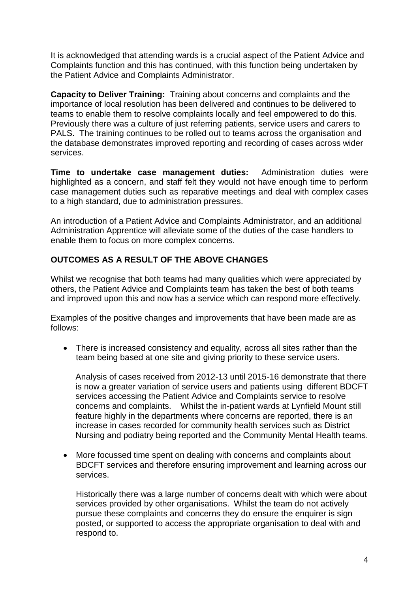It is acknowledged that attending wards is a crucial aspect of the Patient Advice and Complaints function and this has continued, with this function being undertaken by the Patient Advice and Complaints Administrator.

**Capacity to Deliver Training:** Training about concerns and complaints and the importance of local resolution has been delivered and continues to be delivered to teams to enable them to resolve complaints locally and feel empowered to do this. Previously there was a culture of just referring patients, service users and carers to PALS. The training continues to be rolled out to teams across the organisation and the database demonstrates improved reporting and recording of cases across wider services.

**Time to undertake case management duties:** Administration duties were highlighted as a concern, and staff felt they would not have enough time to perform case management duties such as reparative meetings and deal with complex cases to a high standard, due to administration pressures.

An introduction of a Patient Advice and Complaints Administrator, and an additional Administration Apprentice will alleviate some of the duties of the case handlers to enable them to focus on more complex concerns.

# **OUTCOMES AS A RESULT OF THE ABOVE CHANGES**

Whilst we recognise that both teams had many qualities which were appreciated by others, the Patient Advice and Complaints team has taken the best of both teams and improved upon this and now has a service which can respond more effectively.

Examples of the positive changes and improvements that have been made are as follows:

 There is increased consistency and equality, across all sites rather than the team being based at one site and giving priority to these service users.

Analysis of cases received from 2012-13 until 2015-16 demonstrate that there is now a greater variation of service users and patients using different BDCFT services accessing the Patient Advice and Complaints service to resolve concerns and complaints. Whilst the in-patient wards at Lynfield Mount still feature highly in the departments where concerns are reported, there is an increase in cases recorded for community health services such as District Nursing and podiatry being reported and the Community Mental Health teams.

 More focussed time spent on dealing with concerns and complaints about BDCFT services and therefore ensuring improvement and learning across our services.

Historically there was a large number of concerns dealt with which were about services provided by other organisations. Whilst the team do not actively pursue these complaints and concerns they do ensure the enquirer is sign posted, or supported to access the appropriate organisation to deal with and respond to.